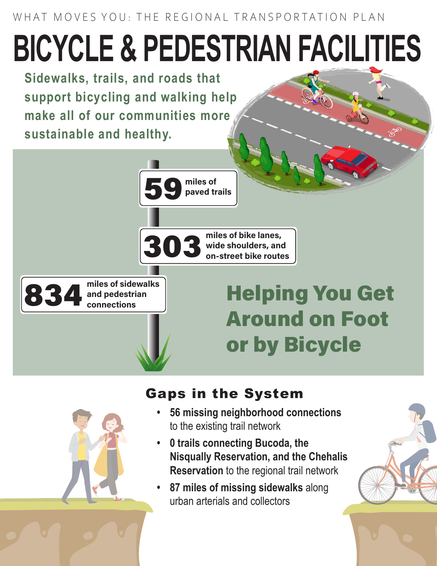WHAT MOVES YOU: THE REGIONAL TRANSPORTATION PLAN

## **BICYCLE & PEDESTRIAN FACILITIES**

**Sidewalks, trails, and roads that support bicycling and walking help make all of our communities more sustainable and healthy.** 



## Gaps in the System

- **• 56 missing neighborhood connections** to the existing trail network
- **• 0 trails connecting Bucoda, the Nisqually Reservation, and the Chehalis Reservation** to the regional trail network
- **• 87 miles of missing sidewalks** along urban arterials and collectors